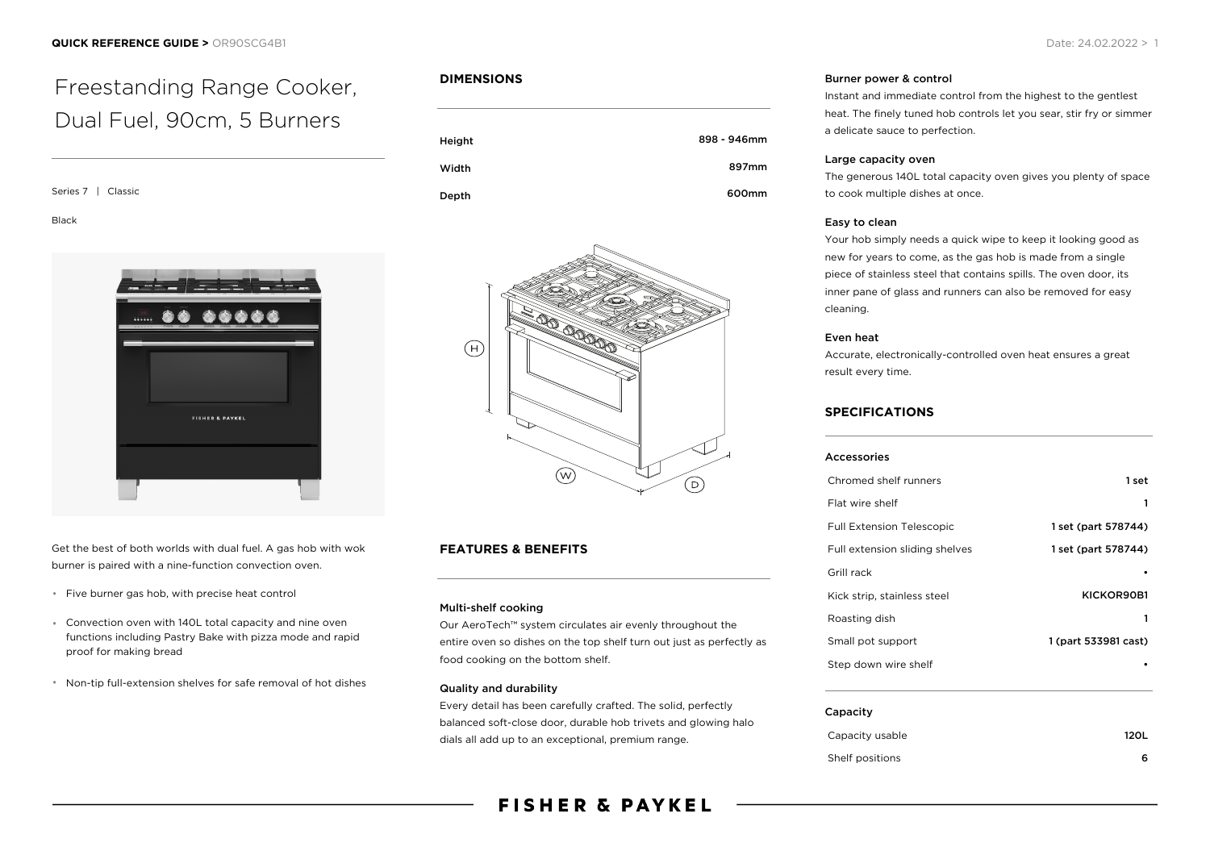# Freestanding Range Cooker, Dual Fuel, 90cm, 5 Burners

Series 7 | Classic

Black



Get the best of both worlds with dual fuel. A gas hob with wok burner is paired with a nine-function convection oven.

- \* Five burner gas hob, with precise heat control
- Convection oven with 140L total capacity and nine oven functions including Pastry Bake with pizza mode and rapid proof for making bread
- Non-tip full-extension shelves for safe removal of hot dishes

# **DIMENSIONS**

| Height | 898 - 946mm |
|--------|-------------|
| Width  | 897mm       |
| Depth  | 600mm       |



# **FEATURES & BENEFITS**

## Multi-shelf cooking

Our AeroTech™ system circulates air evenly throughout the entire oven so dishes on the top shelf turn out just as perfectly as food cooking on the bottom shelf.

#### Quality and durability

Every detail has been carefully crafted. The solid, perfectly balanced soft-close door, durable hob trivets and glowing halo dials all add up to an exceptional, premium range.

# **FISHER & PAYKEL**

#### Burner power & control

Instant and immediate control from the highest to the gentlest heat. The finely tuned hob controls let you sear, stir fry or simmer a delicate sauce to perfection.

#### Large capacity oven

The generous 140L total capacity oven gives you plenty of space to cook multiple dishes at once.

#### Easy to clean

Your hob simply needs a quick wipe to keep it looking good as new for years to come, as the gas hob is made from a single piece of stainless steel that contains spills. The oven door, its inner pane of glass and runners can also be removed for easy cleaning.

#### Even heat

Accurate, electronically-controlled oven heat ensures a great result every time.

# **SPECIFICATIONS**

| <b>Accessories</b>               |                      |
|----------------------------------|----------------------|
| Chromed shelf runners            | 1 set                |
| Flat wire shelf                  | 1                    |
| <b>Full Extension Telescopic</b> | 1 set (part 578744)  |
| Full extension sliding shelves   | 1 set (part 578744)  |
| Grill rack                       |                      |
| Kick strip, stainless steel      | KICKOR90B1           |
| Roasting dish                    | 1                    |
| Small pot support                | 1 (part 533981 cast) |
| Step down wire shelf             |                      |
|                                  |                      |
| Capacity                         |                      |

| Capacity usable | <b>120L</b> |
|-----------------|-------------|
| Shelf positions |             |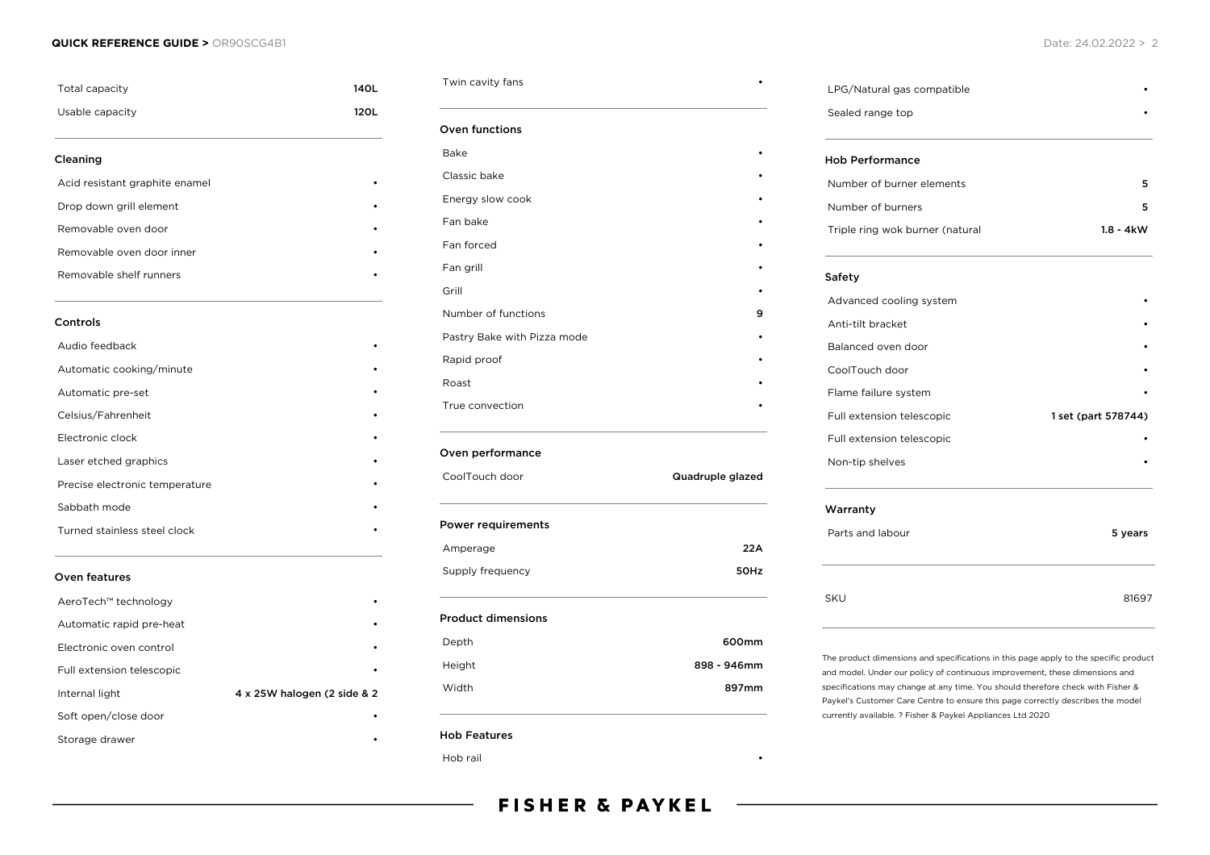#### **QUICK REFERENCE GUIDE >** OR90SCG4B1 Date: 24.02.2022 > 2

| Total capacity                 | 140L                        |
|--------------------------------|-----------------------------|
| Usable capacity                | 120L                        |
| Cleaning                       |                             |
| Acid resistant graphite enamel |                             |
| Drop down grill element        |                             |
| Removable oven door            |                             |
| Removable oven door inner      |                             |
| Removable shelf runners        |                             |
| Controls                       |                             |
| Audio feedback                 |                             |
| Automatic cooking/minute       |                             |
| Automatic pre-set              |                             |
| Celsius/Fahrenheit             |                             |
| Electronic clock               |                             |
| Laser etched graphics          |                             |
| Precise electronic temperature |                             |
| Sabbath mode                   |                             |
| Turned stainless steel clock   |                             |
| Oven features                  |                             |
| AeroTech™ technology           |                             |
| Automatic rapid pre-heat       |                             |
| Electronic oven control        |                             |
| Full extension telescopic      |                             |
| Internal light                 | 4 x 25W halogen (2 side & 2 |
| Soft open/close door           |                             |
| Storage drawer                 |                             |

Twin cavity fans **•** 

# Oven functions

| 9 |                  |
|---|------------------|
|   |                  |
|   |                  |
|   | Quadruple glazed |
|   |                  |
|   | 22A              |
|   | 50Hz             |
|   |                  |
|   | 600mm            |
|   |                  |
|   | 898 - 946mm      |
|   |                  |

Hob Features

Hob rail •

LPG/Natural gas compatible • Sealed range top Hob Performance Number of burner elements 5 Number of burners 5 Triple ring wok burner (natural 1.8 - 4kW Safety Advanced cooling system Anti-tilt bracket • Balanced oven door • CoolTouch door Flame failure system • Full extension telescopic 1 set (part 578744) Full extension telescopic • Non-tip shelves • Warranty Parts and labour 5 years 5 years 5 years 5 years 5 years 5 years 5 years 5 years 5 years 5 years 5 years 5 years 5 years 5 years 5 years 5 years 5 years 5 years 5 years 5 years 5 years 5 years 5 years 5 years 5 years 5 yea

SKU 81697

The product dimensions and specifications in this page apply to the specific product and model. Under our policy of continuous improvement, these dimensions and specifications may change at any time. You should therefore check with Fisher & Paykel's Customer Care Centre to ensure this page correctly describes the model currently available. ? Fisher & Paykel Appliances Ltd 2020